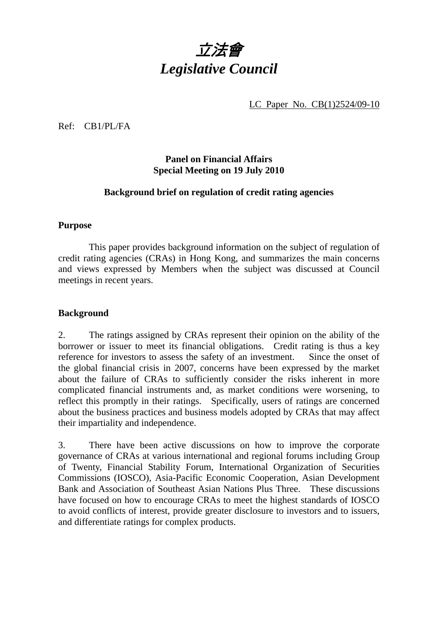

LC Paper No. CB(1)2524/09-10

Ref: CB1/PL/FA

# **Panel on Financial Affairs Special Meeting on 19 July 2010**

### **Background brief on regulation of credit rating agencies**

#### **Purpose**

This paper provides background information on the subject of regulation of credit rating agencies (CRAs) in Hong Kong, and summarizes the main concerns and views expressed by Members when the subject was discussed at Council meetings in recent years.

# **Background**

2. The ratings assigned by CRAs represent their opinion on the ability of the borrower or issuer to meet its financial obligations. Credit rating is thus a key reference for investors to assess the safety of an investment. Since the onset of the global financial crisis in 2007, concerns have been expressed by the market about the failure of CRAs to sufficiently consider the risks inherent in more complicated financial instruments and, as market conditions were worsening, to reflect this promptly in their ratings. Specifically, users of ratings are concerned about the business practices and business models adopted by CRAs that may affect their impartiality and independence.

3. There have been active discussions on how to improve the corporate governance of CRAs at various international and regional forums including Group of Twenty, Financial Stability Forum, International Organization of Securities Commissions (IOSCO), Asia-Pacific Economic Cooperation, Asian Development Bank and Association of Southeast Asian Nations Plus Three. These discussions have focused on how to encourage CRAs to meet the highest standards of IOSCO to avoid conflicts of interest, provide greater disclosure to investors and to issuers, and differentiate ratings for complex products.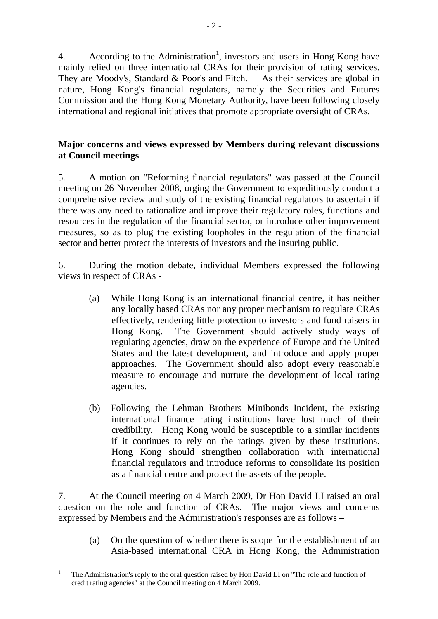4. According to the Administration<sup>1</sup>, investors and users in Hong Kong have mainly relied on three international CRAs for their provision of rating services. They are Moody's, Standard & Poor's and Fitch. As their services are global in nature, Hong Kong's financial regulators, namely the Securities and Futures Commission and the Hong Kong Monetary Authority, have been following closely international and regional initiatives that promote appropriate oversight of CRAs.

# **Major concerns and views expressed by Members during relevant discussions at Council meetings**

5. A motion on "Reforming financial regulators" was passed at the Council meeting on 26 November 2008, urging the Government to expeditiously conduct a comprehensive review and study of the existing financial regulators to ascertain if there was any need to rationalize and improve their regulatory roles, functions and resources in the regulation of the financial sector, or introduce other improvement measures, so as to plug the existing loopholes in the regulation of the financial sector and better protect the interests of investors and the insuring public.

6. During the motion debate, individual Members expressed the following views in respect of CRAs -

- (a) While Hong Kong is an international financial centre, it has neither any locally based CRAs nor any proper mechanism to regulate CRAs effectively, rendering little protection to investors and fund raisers in Hong Kong. The Government should actively study ways of regulating agencies, draw on the experience of Europe and the United States and the latest development, and introduce and apply proper approaches. The Government should also adopt every reasonable measure to encourage and nurture the development of local rating agencies.
- (b) Following the Lehman Brothers Minibonds Incident, the existing international finance rating institutions have lost much of their credibility. Hong Kong would be susceptible to a similar incidents if it continues to rely on the ratings given by these institutions. Hong Kong should strengthen collaboration with international financial regulators and introduce reforms to consolidate its position as a financial centre and protect the assets of the people.

7. At the Council meeting on 4 March 2009, Dr Hon David LI raised an oral question on the role and function of CRAs. The major views and concerns expressed by Members and the Administration's responses are as follows –

(a) On the question of whether there is scope for the establishment of an Asia-based international CRA in Hong Kong, the Administration

 $\overline{a}$ 1 The Administration's reply to the oral question raised by Hon David LI on "The role and function of credit rating agencies" at the Council meeting on 4 March 2009.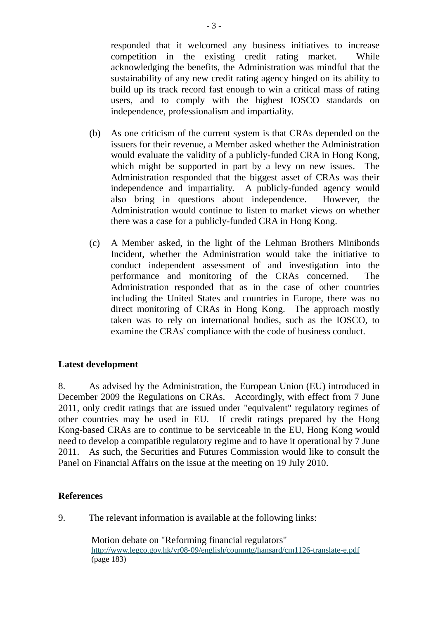responded that it welcomed any business initiatives to increase competition in the existing credit rating market. While acknowledging the benefits, the Administration was mindful that the sustainability of any new credit rating agency hinged on its ability to build up its track record fast enough to win a critical mass of rating users, and to comply with the highest IOSCO standards on independence, professionalism and impartiality.

- (b) As one criticism of the current system is that CRAs depended on the issuers for their revenue, a Member asked whether the Administration would evaluate the validity of a publicly-funded CRA in Hong Kong, which might be supported in part by a levy on new issues. The Administration responded that the biggest asset of CRAs was their independence and impartiality. A publicly-funded agency would also bring in questions about independence. However, the Administration would continue to listen to market views on whether there was a case for a publicly-funded CRA in Hong Kong.
- (c) A Member asked, in the light of the Lehman Brothers Minibonds Incident, whether the Administration would take the initiative to conduct independent assessment of and investigation into the performance and monitoring of the CRAs concerned. The Administration responded that as in the case of other countries including the United States and countries in Europe, there was no direct monitoring of CRAs in Hong Kong. The approach mostly taken was to rely on international bodies, such as the IOSCO, to examine the CRAs' compliance with the code of business conduct.

### **Latest development**

8. As advised by the Administration, the European Union (EU) introduced in December 2009 the Regulations on CRAs. Accordingly, with effect from 7 June 2011, only credit ratings that are issued under "equivalent" regulatory regimes of other countries may be used in EU. If credit ratings prepared by the Hong Kong-based CRAs are to continue to be serviceable in the EU, Hong Kong would need to develop a compatible regulatory regime and to have it operational by 7 June 2011. As such, the Securities and Futures Commission would like to consult the Panel on Financial Affairs on the issue at the meeting on 19 July 2010.

#### **References**

9. The relevant information is available at the following links:

Motion debate on "Reforming financial regulators" http://www.legco.gov.hk/yr08-09/english/counmtg/hansard/cm1126-translate-e.pdf (page 183)